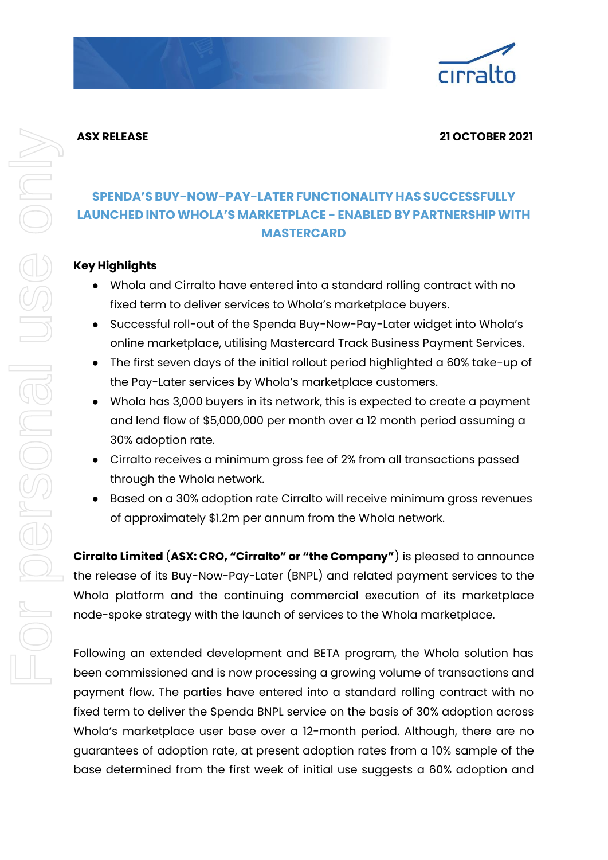

#### **ASX RELEASE 21 OCTOBER 2021**

## **SPENDA'S BUY-NOW-PAY-LATER FUNCTIONALITY HAS SUCCESSFULLY LAUNCHED INTOWHOLA'S MARKETPLACE - ENABLED BYPARTNERSHIPWITH MASTERCARD**

### **Key Highlights**

- Whola and Cirralto have entered into a standard rolling contract with no fixed term to deliver services to Whola's marketplace buyers.
- Successful roll-out of the Spenda Buy-Now-Pay-Later widget into Whola's online marketplace, utilising Mastercard Track Business Payment Services.
- The first seven days of the initial rollout period highlighted a 60% take-up of the Pay-Later services by Whola's marketplace customers.
- Whola has 3,000 buyers in its network, this is expected to create a payment and lend flow of \$5,000,000 per month over a 12 month period assuming a 30% adoption rate.
- Cirralto receives a minimum gross fee of 2% from all transactions passed through the Whola network.
- Based on a 30% adoption rate Cirralto will receive minimum gross revenues of approximately \$1.2m per annum from the Whola network.

**Cirralto Limited** (**ASX: CRO, "Cirralto" or "the Company"**) is pleased to announce the release of its Buy-Now-Pay-Later (BNPL) and related payment services to the Whola platform and the continuing commercial execution of its marketplace node-spoke strategy with the launch of services to the Whola marketplace.

Following an extended development and BETA program, the Whola solution has been commissioned and is now processing a growing volume of transactions and payment flow. The parties have entered into a standard rolling contract with no fixed term to deliver the Spenda BNPL service on the basis of 30% adoption across Whola's marketplace user base over a 12-month period. Although, there are no guarantees of adoption rate, at present adoption rates from a 10% sample of the base determined from the first week of initial use suggests a 60% adoption and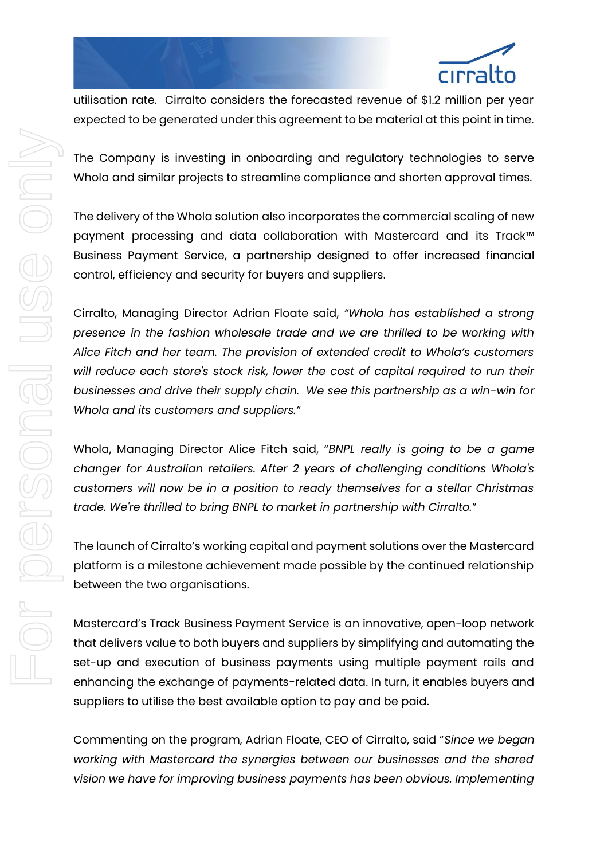

utilisation rate. Cirralto considers the forecasted revenue of \$1.2 million per year expected to be generated under this agreement to be material at this point in time.

The Company is investing in onboarding and regulatory technologies to serve Whola and similar projects to streamline compliance and shorten approval times.

The delivery of the Whola solution also incorporates the commercial scaling of new payment processing and data collaboration with Mastercard and its Track™ Business Payment Service, a partnership designed to offer increased financial control, efficiency and security for buyers and suppliers.

Cirralto, Managing Director Adrian Floate said, *"Whola has established a strong presence in the fashion wholesale trade and we are thrilled to be working with Alice Fitch and her team. The provision of extended credit to Whola's customers will reduce each store's stock risk, lower the cost of capital required to run their businesses and drive their supply chain. We see this partnership as a win-win for Whola and its customers and suppliers."*

Whola, Managing Director Alice Fitch said, "*BNPL really is going to be a game changer for Australian retailers. After 2 years of challenging conditions Whola's customers will now be in a position to ready themselves for a stellar Christmas trade. We're thrilled to bring BNPL to market in partnership with Cirralto.*"

The launch of Cirralto's working capital and payment solutions over the Mastercard platform is a milestone achievement made possible by the continued relationship between the two organisations.

Mastercard's Track Business Payment Service is an innovative, open-loop network that delivers value to both buyers and suppliers by simplifying and automating the set-up and execution of business payments using multiple payment rails and enhancing the exchange of payments-related data. In turn, it enables buyers and suppliers to utilise the best available option to pay and be paid.

Commenting on the program, Adrian Floate, CEO of Cirralto, said "*Since we began working with Mastercard the synergies between our businesses and the shared vision we have for improving business payments has been obvious. Implementing*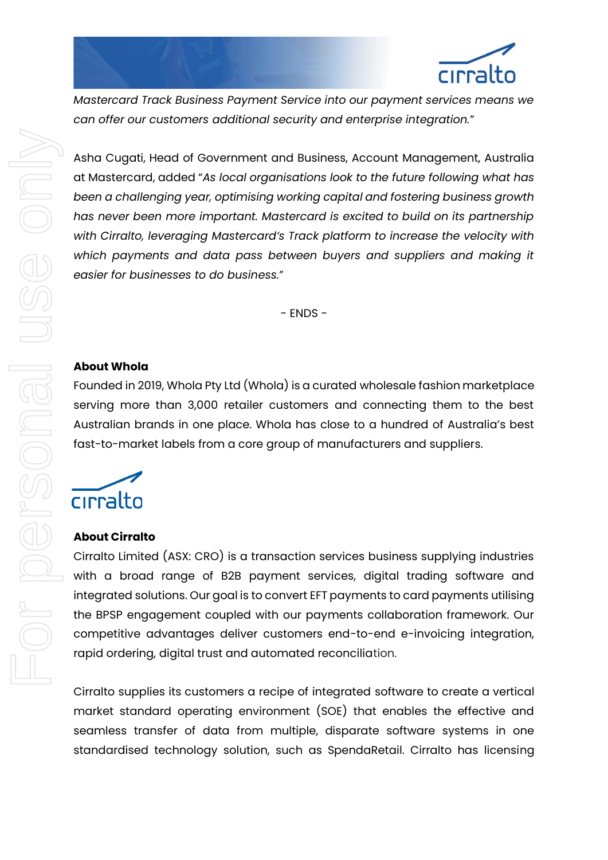

*Mastercard Track Business Payment Service into our payment services means we can offer our customers additional security and enterprise integration.*"

Asha Cugati, Head of Government and Business, Account Management, Australia at Mastercard, added "*As local organisations look to the future following what has been a challenging year, optimising working capital and fostering business growth has never been more important. Mastercard is excited to build on its partnership with Cirralto, leveraging Mastercard's Track platform to increase the velocity with*  which payments and data pass between buyers and suppliers and making it *easier for businesses to do business.*"

- ENDS -

#### **About Whola**

Founded in 2019, Whola Pty Ltd (Whola) is a curated wholesale fashion marketplace serving more than 3,000 retailer customers and connecting them to the best Australian brands in one place. Whola has close to a hundred of Australia's best fast-to-market labels from a core group of manufacturers and suppliers.

# cirralto

#### **About Cirralto**

Cirralto Limited (ASX: CRO) is a transaction services business supplying industries with a broad range of B2B payment services, digital trading software and integrated solutions. Our goal is to convert EFT payments to card payments utilising the BPSP engagement coupled with our payments collaboration framework. Our competitive advantages deliver customers end-to-end e-invoicing integration, rapid ordering, digital trust and automated reconciliation.

Cirralto supplies its customers a recipe of integrated software to create a vertical market standard operating environment (SOE) that enables the effective and seamless transfer of data from multiple, disparate software systems in one standardised technology solution, such as SpendaRetail. Cirralto has licensing